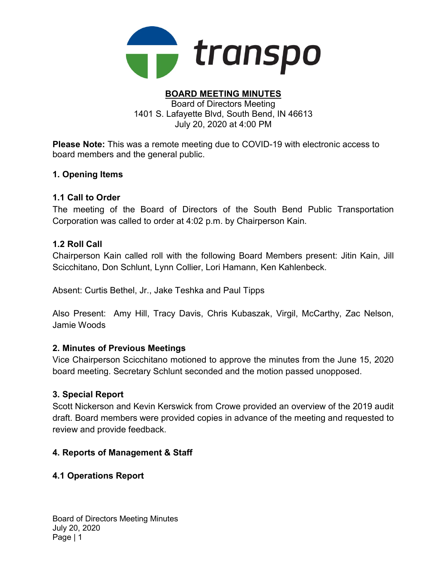

#### BOARD MEETING MINUTES Board of Directors Meeting

1401 S. Lafayette Blvd, South Bend, IN 46613 July 20, 2020 at 4:00 PM

Please Note: This was a remote meeting due to COVID-19 with electronic access to board members and the general public.

# 1. Opening Items

### 1.1 Call to Order

The meeting of the Board of Directors of the South Bend Public Transportation Corporation was called to order at 4:02 p.m. by Chairperson Kain.

### 1.2 Roll Call

Chairperson Kain called roll with the following Board Members present: Jitin Kain, Jill Scicchitano, Don Schlunt, Lynn Collier, Lori Hamann, Ken Kahlenbeck.

Absent: Curtis Bethel, Jr., Jake Teshka and Paul Tipps

Also Present: Amy Hill, Tracy Davis, Chris Kubaszak, Virgil, McCarthy, Zac Nelson, Jamie Woods

# 2. Minutes of Previous Meetings

Vice Chairperson Scicchitano motioned to approve the minutes from the June 15, 2020 board meeting. Secretary Schlunt seconded and the motion passed unopposed.

### 3. Special Report

Scott Nickerson and Kevin Kerswick from Crowe provided an overview of the 2019 audit draft. Board members were provided copies in advance of the meeting and requested to review and provide feedback.

# 4. Reports of Management & Staff

# 4.1 Operations Report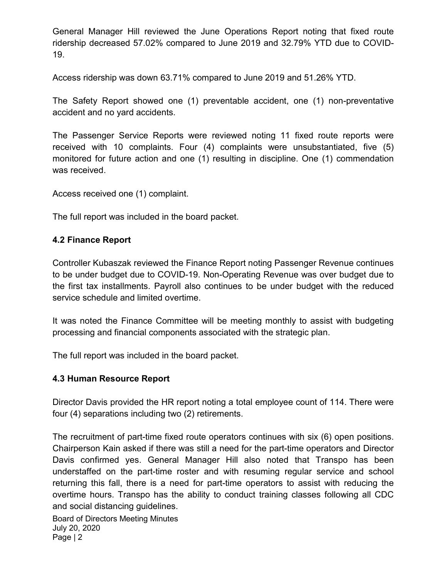General Manager Hill reviewed the June Operations Report noting that fixed route ridership decreased 57.02% compared to June 2019 and 32.79% YTD due to COVID-19.

Access ridership was down 63.71% compared to June 2019 and 51.26% YTD.

The Safety Report showed one (1) preventable accident, one (1) non-preventative accident and no yard accidents.

The Passenger Service Reports were reviewed noting 11 fixed route reports were received with 10 complaints. Four (4) complaints were unsubstantiated, five (5) monitored for future action and one (1) resulting in discipline. One (1) commendation was received.

Access received one (1) complaint.

The full report was included in the board packet.

# 4.2 Finance Report

Controller Kubaszak reviewed the Finance Report noting Passenger Revenue continues to be under budget due to COVID-19. Non-Operating Revenue was over budget due to the first tax installments. Payroll also continues to be under budget with the reduced service schedule and limited overtime.

It was noted the Finance Committee will be meeting monthly to assist with budgeting processing and financial components associated with the strategic plan.

The full report was included in the board packet.

# 4.3 Human Resource Report

Director Davis provided the HR report noting a total employee count of 114. There were four (4) separations including two (2) retirements.

The recruitment of part-time fixed route operators continues with six (6) open positions. Chairperson Kain asked if there was still a need for the part-time operators and Director Davis confirmed yes. General Manager Hill also noted that Transpo has been understaffed on the part-time roster and with resuming regular service and school returning this fall, there is a need for part-time operators to assist with reducing the overtime hours. Transpo has the ability to conduct training classes following all CDC and social distancing guidelines.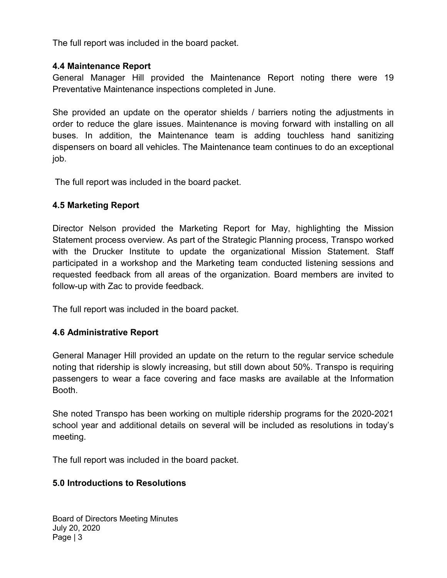The full report was included in the board packet.

# 4.4 Maintenance Report

General Manager Hill provided the Maintenance Report noting there were 19 Preventative Maintenance inspections completed in June.

She provided an update on the operator shields / barriers noting the adjustments in order to reduce the glare issues. Maintenance is moving forward with installing on all buses. In addition, the Maintenance team is adding touchless hand sanitizing dispensers on board all vehicles. The Maintenance team continues to do an exceptional job.

The full report was included in the board packet.

# 4.5 Marketing Report

Director Nelson provided the Marketing Report for May, highlighting the Mission Statement process overview. As part of the Strategic Planning process, Transpo worked with the Drucker Institute to update the organizational Mission Statement. Staff participated in a workshop and the Marketing team conducted listening sessions and requested feedback from all areas of the organization. Board members are invited to follow-up with Zac to provide feedback.

The full report was included in the board packet.

# 4.6 Administrative Report

General Manager Hill provided an update on the return to the regular service schedule noting that ridership is slowly increasing, but still down about 50%. Transpo is requiring passengers to wear a face covering and face masks are available at the Information Booth.

She noted Transpo has been working on multiple ridership programs for the 2020-2021 school year and additional details on several will be included as resolutions in today's meeting.

The full report was included in the board packet.

### 5.0 Introductions to Resolutions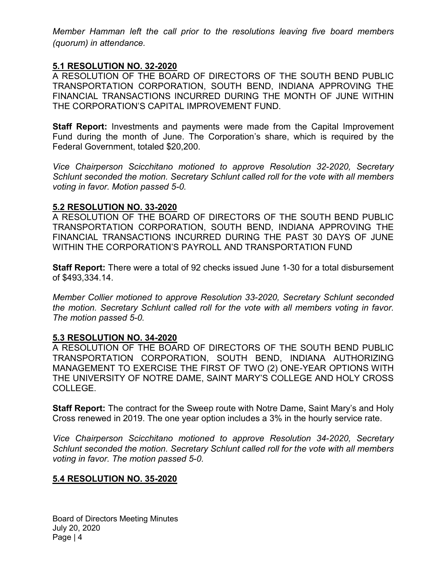Member Hamman left the call prior to the resolutions leaving five board members (quorum) in attendance.

### 5.1 RESOLUTION NO. 32-2020

A RESOLUTION OF THE BOARD OF DIRECTORS OF THE SOUTH BEND PUBLIC TRANSPORTATION CORPORATION, SOUTH BEND, INDIANA APPROVING THE FINANCIAL TRANSACTIONS INCURRED DURING THE MONTH OF JUNE WITHIN THE CORPORATION'S CAPITAL IMPROVEMENT FUND.

**Staff Report:** Investments and payments were made from the Capital Improvement Fund during the month of June. The Corporation's share, which is required by the Federal Government, totaled \$20,200.

Vice Chairperson Scicchitano motioned to approve Resolution 32-2020, Secretary Schlunt seconded the motion. Secretary Schlunt called roll for the vote with all members voting in favor. Motion passed 5-0.

### 5.2 RESOLUTION NO. 33-2020

A RESOLUTION OF THE BOARD OF DIRECTORS OF THE SOUTH BEND PUBLIC TRANSPORTATION CORPORATION, SOUTH BEND, INDIANA APPROVING THE FINANCIAL TRANSACTIONS INCURRED DURING THE PAST 30 DAYS OF JUNE WITHIN THE CORPORATION'S PAYROLL AND TRANSPORTATION FUND

Staff Report: There were a total of 92 checks issued June 1-30 for a total disbursement of \$493,334.14.

Member Collier motioned to approve Resolution 33-2020, Secretary Schlunt seconded the motion. Secretary Schlunt called roll for the vote with all members voting in favor. The motion passed 5-0.

### 5.3 RESOLUTION NO. 34-2020

A RESOLUTION OF THE BOARD OF DIRECTORS OF THE SOUTH BEND PUBLIC TRANSPORTATION CORPORATION, SOUTH BEND, INDIANA AUTHORIZING MANAGEMENT TO EXERCISE THE FIRST OF TWO (2) ONE-YEAR OPTIONS WITH THE UNIVERSITY OF NOTRE DAME, SAINT MARY'S COLLEGE AND HOLY CROSS COLLEGE.

Staff Report: The contract for the Sweep route with Notre Dame, Saint Mary's and Holy Cross renewed in 2019. The one year option includes a 3% in the hourly service rate.

Vice Chairperson Scicchitano motioned to approve Resolution 34-2020, Secretary Schlunt seconded the motion. Secretary Schlunt called roll for the vote with all members voting in favor. The motion passed 5-0.

### 5.4 RESOLUTION NO. 35-2020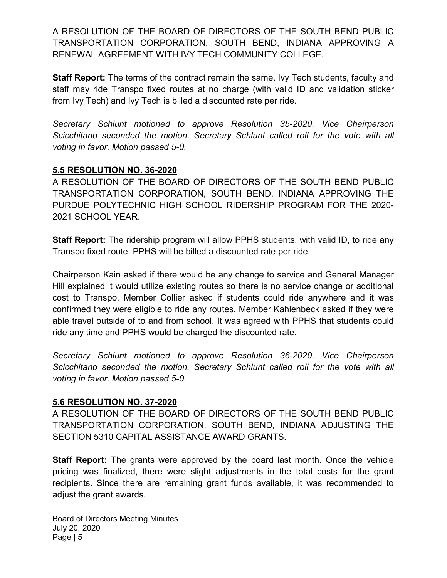A RESOLUTION OF THE BOARD OF DIRECTORS OF THE SOUTH BEND PUBLIC TRANSPORTATION CORPORATION, SOUTH BEND, INDIANA APPROVING A RENEWAL AGREEMENT WITH IVY TECH COMMUNITY COLLEGE.

Staff Report: The terms of the contract remain the same. Ivy Tech students, faculty and staff may ride Transpo fixed routes at no charge (with valid ID and validation sticker from Ivy Tech) and Ivy Tech is billed a discounted rate per ride.

Secretary Schlunt motioned to approve Resolution 35-2020. Vice Chairperson Scicchitano seconded the motion. Secretary Schlunt called roll for the vote with all voting in favor. Motion passed 5-0.

# 5.5 RESOLUTION NO. 36-2020

A RESOLUTION OF THE BOARD OF DIRECTORS OF THE SOUTH BEND PUBLIC TRANSPORTATION CORPORATION, SOUTH BEND, INDIANA APPROVING THE PURDUE POLYTECHNIC HIGH SCHOOL RIDERSHIP PROGRAM FOR THE 2020- 2021 SCHOOL YEAR.

**Staff Report:** The ridership program will allow PPHS students, with valid ID, to ride any Transpo fixed route. PPHS will be billed a discounted rate per ride.

Chairperson Kain asked if there would be any change to service and General Manager Hill explained it would utilize existing routes so there is no service change or additional cost to Transpo. Member Collier asked if students could ride anywhere and it was confirmed they were eligible to ride any routes. Member Kahlenbeck asked if they were able travel outside of to and from school. It was agreed with PPHS that students could ride any time and PPHS would be charged the discounted rate.

Secretary Schlunt motioned to approve Resolution 36-2020. Vice Chairperson Scicchitano seconded the motion. Secretary Schlunt called roll for the vote with all voting in favor. Motion passed 5-0.

### 5.6 RESOLUTION NO. 37-2020

A RESOLUTION OF THE BOARD OF DIRECTORS OF THE SOUTH BEND PUBLIC TRANSPORTATION CORPORATION, SOUTH BEND, INDIANA ADJUSTING THE SECTION 5310 CAPITAL ASSISTANCE AWARD GRANTS.

**Staff Report:** The grants were approved by the board last month. Once the vehicle pricing was finalized, there were slight adjustments in the total costs for the grant recipients. Since there are remaining grant funds available, it was recommended to adjust the grant awards.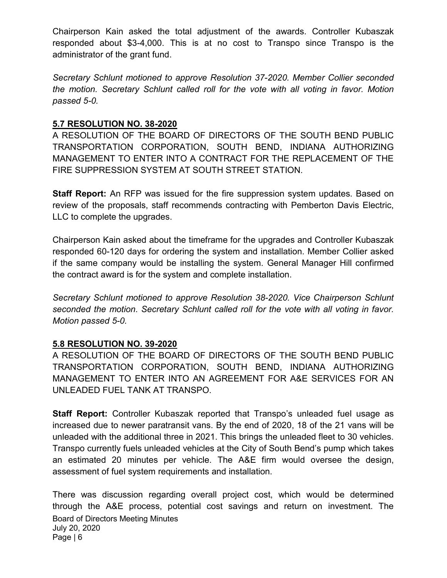Chairperson Kain asked the total adjustment of the awards. Controller Kubaszak responded about \$3-4,000. This is at no cost to Transpo since Transpo is the administrator of the grant fund.

Secretary Schlunt motioned to approve Resolution 37-2020. Member Collier seconded the motion. Secretary Schlunt called roll for the vote with all voting in favor. Motion passed 5-0.

# 5.7 RESOLUTION NO. 38-2020

A RESOLUTION OF THE BOARD OF DIRECTORS OF THE SOUTH BEND PUBLIC TRANSPORTATION CORPORATION, SOUTH BEND, INDIANA AUTHORIZING MANAGEMENT TO ENTER INTO A CONTRACT FOR THE REPLACEMENT OF THE FIRE SUPPRESSION SYSTEM AT SOUTH STREET STATION.

**Staff Report:** An RFP was issued for the fire suppression system updates. Based on review of the proposals, staff recommends contracting with Pemberton Davis Electric, LLC to complete the upgrades.

Chairperson Kain asked about the timeframe for the upgrades and Controller Kubaszak responded 60-120 days for ordering the system and installation. Member Collier asked if the same company would be installing the system. General Manager Hill confirmed the contract award is for the system and complete installation.

Secretary Schlunt motioned to approve Resolution 38-2020. Vice Chairperson Schlunt seconded the motion. Secretary Schlunt called roll for the vote with all voting in favor. Motion passed 5-0.

# 5.8 RESOLUTION NO. 39-2020

A RESOLUTION OF THE BOARD OF DIRECTORS OF THE SOUTH BEND PUBLIC TRANSPORTATION CORPORATION, SOUTH BEND, INDIANA AUTHORIZING MANAGEMENT TO ENTER INTO AN AGREEMENT FOR A&E SERVICES FOR AN UNLEADED FUEL TANK AT TRANSPO.

Staff Report: Controller Kubaszak reported that Transpo's unleaded fuel usage as increased due to newer paratransit vans. By the end of 2020, 18 of the 21 vans will be unleaded with the additional three in 2021. This brings the unleaded fleet to 30 vehicles. Transpo currently fuels unleaded vehicles at the City of South Bend's pump which takes an estimated 20 minutes per vehicle. The A&E firm would oversee the design, assessment of fuel system requirements and installation.

Board of Directors Meeting Minutes July 20, 2020 Page | 6 There was discussion regarding overall project cost, which would be determined through the A&E process, potential cost savings and return on investment. The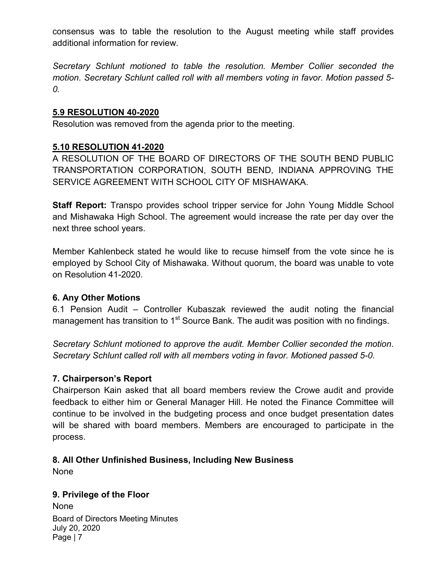consensus was to table the resolution to the August meeting while staff provides additional information for review.

Secretary Schlunt motioned to table the resolution. Member Collier seconded the motion. Secretary Schlunt called roll with all members voting in favor. Motion passed 5- 0.

### 5.9 RESOLUTION 40-2020

Resolution was removed from the agenda prior to the meeting.

# 5.10 RESOLUTION 41-2020

A RESOLUTION OF THE BOARD OF DIRECTORS OF THE SOUTH BEND PUBLIC TRANSPORTATION CORPORATION, SOUTH BEND, INDIANA APPROVING THE SERVICE AGREEMENT WITH SCHOOL CITY OF MISHAWAKA.

Staff Report: Transpo provides school tripper service for John Young Middle School and Mishawaka High School. The agreement would increase the rate per day over the next three school years.

Member Kahlenbeck stated he would like to recuse himself from the vote since he is employed by School City of Mishawaka. Without quorum, the board was unable to vote on Resolution 41-2020.

### 6. Any Other Motions

6.1 Pension Audit – Controller Kubaszak reviewed the audit noting the financial management has transition to 1<sup>st</sup> Source Bank. The audit was position with no findings.

Secretary Schlunt motioned to approve the audit. Member Collier seconded the motion. Secretary Schlunt called roll with all members voting in favor. Motioned passed 5-0.

### 7. Chairperson's Report

Chairperson Kain asked that all board members review the Crowe audit and provide feedback to either him or General Manager Hill. He noted the Finance Committee will continue to be involved in the budgeting process and once budget presentation dates will be shared with board members. Members are encouraged to participate in the process.

# 8. All Other Unfinished Business, Including New Business

None

### 9. Privilege of the Floor